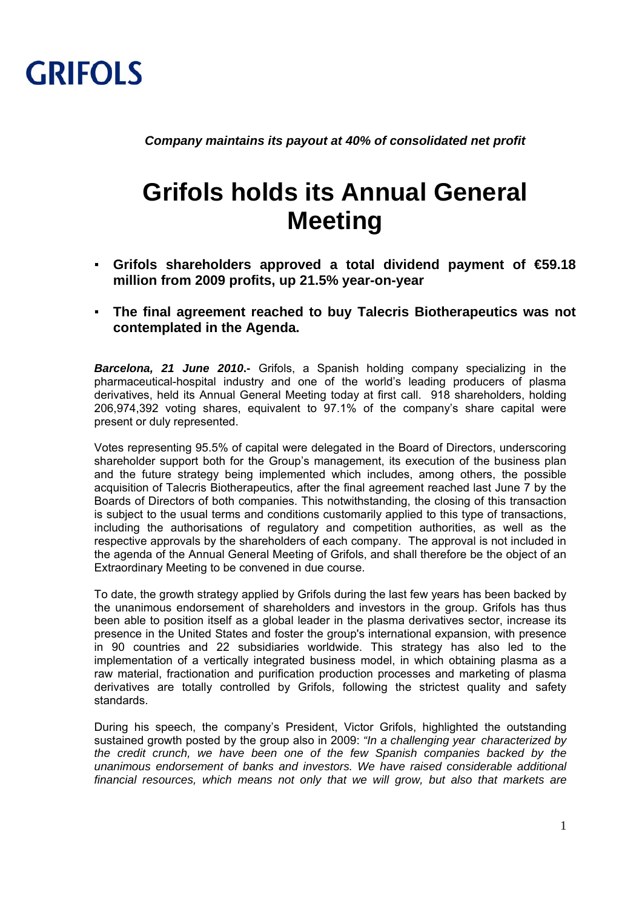

*Company maintains its payout at 40% of consolidated net profit* 

## **Grifols holds its Annual General Meeting**

- **Grifols shareholders approved a total dividend payment of €59.18 million from 2009 profits, up 21.5% year-on-year**
- **The final agreement reached to buy Talecris Biotherapeutics was not contemplated in the Agenda.**

*Barcelona, 21 June 2010***.-** Grifols, a Spanish holding company specializing in the pharmaceutical-hospital industry and one of the world's leading producers of plasma derivatives, held its Annual General Meeting today at first call. 918 shareholders, holding 206,974,392 voting shares, equivalent to 97.1% of the company's share capital were present or duly represented.

Votes representing 95.5% of capital were delegated in the Board of Directors, underscoring shareholder support both for the Group's management, its execution of the business plan and the future strategy being implemented which includes, among others, the possible acquisition of Talecris Biotherapeutics, after the final agreement reached last June 7 by the Boards of Directors of both companies. This notwithstanding, the closing of this transaction is subject to the usual terms and conditions customarily applied to this type of transactions, including the authorisations of regulatory and competition authorities, as well as the respective approvals by the shareholders of each company. The approval is not included in the agenda of the Annual General Meeting of Grifols, and shall therefore be the object of an Extraordinary Meeting to be convened in due course.

To date, the growth strategy applied by Grifols during the last few years has been backed by the unanimous endorsement of shareholders and investors in the group. Grifols has thus been able to position itself as a global leader in the plasma derivatives sector, increase its presence in the United States and foster the group's international expansion, with presence in 90 countries and 22 subsidiaries worldwide. This strategy has also led to the implementation of a vertically integrated business model, in which obtaining plasma as a raw material, fractionation and purification production processes and marketing of plasma derivatives are totally controlled by Grifols, following the strictest quality and safety standards.

During his speech, the company's President, Victor Grifols, highlighted the outstanding sustained growth posted by the group also in 2009: *"In a challenging year characterized by the credit crunch, we have been one of the few Spanish companies backed by the unanimous endorsement of banks and investors. We have raised considerable additional financial resources, which means not only that we will grow, but also that markets are*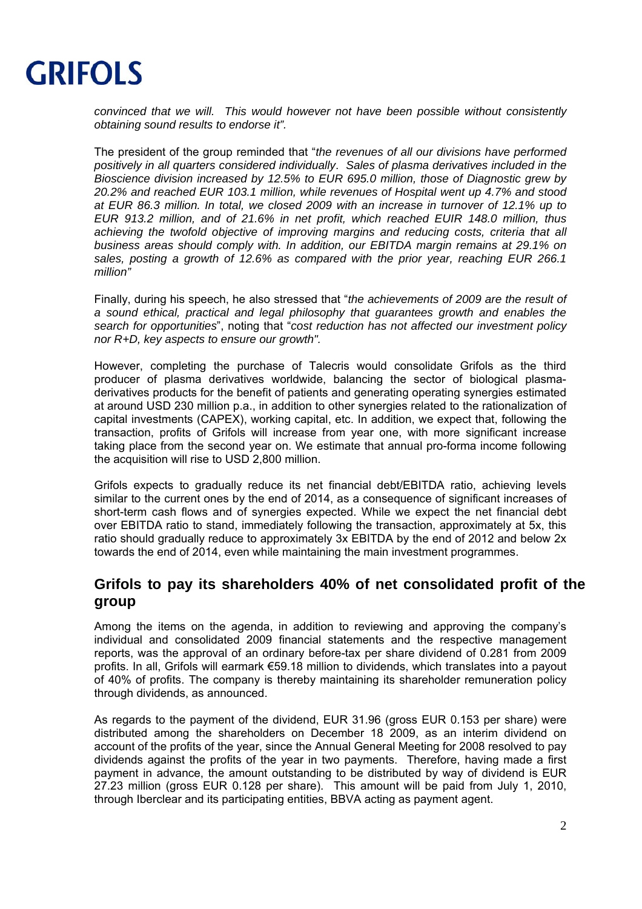

*convinced that we will. This would however not have been possible without consistently obtaining sound results to endorse it".*

The president of the group reminded that "*the revenues of all our divisions have performed positively in all quarters considered individually*. *Sales of plasma derivatives included in the Bioscience division increased by 12.5% to EUR 695.0 million, those of Diagnostic grew by 20.2% and reached EUR 103.1 million, while revenues of Hospital went up 4.7% and stood at EUR 86.3 million. In total, we closed 2009 with an increase in turnover of 12.1% up to EUR 913.2 million, and of 21.6% in net profit, which reached EUIR 148.0 million, thus achieving the twofold objective of improving margins and reducing costs, criteria that all business areas should comply with. In addition, our EBITDA margin remains at 29.1% on sales, posting a growth of 12.6% as compared with the prior year, reaching EUR 266.1 million"*

Finally, during his speech, he also stressed that "*the achievements of 2009 are the result of a sound ethical, practical and legal philosophy that guarantees growth and enables the search for opportunities*", noting that "*cost reduction has not affected our investment policy nor R+D, key aspects to ensure our growth".*

However, completing the purchase of Talecris would consolidate Grifols as the third producer of plasma derivatives worldwide, balancing the sector of biological plasmaderivatives products for the benefit of patients and generating operating synergies estimated at around USD 230 million p.a., in addition to other synergies related to the rationalization of capital investments (CAPEX), working capital, etc. In addition, we expect that, following the transaction, profits of Grifols will increase from year one, with more significant increase taking place from the second year on. We estimate that annual pro-forma income following the acquisition will rise to USD 2,800 million.

Grifols expects to gradually reduce its net financial debt/EBITDA ratio, achieving levels similar to the current ones by the end of 2014, as a consequence of significant increases of short-term cash flows and of synergies expected. While we expect the net financial debt over EBITDA ratio to stand, immediately following the transaction, approximately at 5x, this ratio should gradually reduce to approximately 3x EBITDA by the end of 2012 and below 2x towards the end of 2014, even while maintaining the main investment programmes.

## **Grifols to pay its shareholders 40% of net consolidated profit of the group**

Among the items on the agenda, in addition to reviewing and approving the company's individual and consolidated 2009 financial statements and the respective management reports, was the approval of an ordinary before-tax per share dividend of 0.281 from 2009 profits. In all, Grifols will earmark €59.18 million to dividends, which translates into a payout of 40% of profits. The company is thereby maintaining its shareholder remuneration policy through dividends, as announced.

As regards to the payment of the dividend, EUR 31.96 (gross EUR 0.153 per share) were distributed among the shareholders on December 18 2009, as an interim dividend on account of the profits of the year, since the Annual General Meeting for 2008 resolved to pay dividends against the profits of the year in two payments. Therefore, having made a first payment in advance, the amount outstanding to be distributed by way of dividend is EUR 27.23 million (gross EUR 0.128 per share). This amount will be paid from July 1, 2010, through Iberclear and its participating entities, BBVA acting as payment agent.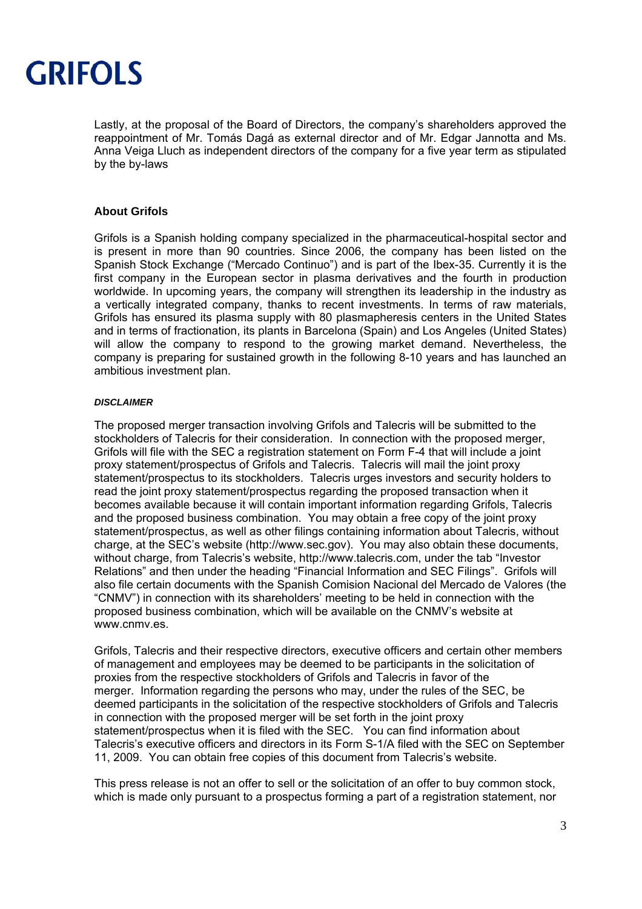

Lastly, at the proposal of the Board of Directors, the company's shareholders approved the reappointment of Mr. Tomás Dagá as external director and of Mr. Edgar Jannotta and Ms. Anna Veiga Lluch as independent directors of the company for a five year term as stipulated by the by-laws

## **About Grifols**

Grifols is a Spanish holding company specialized in the pharmaceutical-hospital sector and is present in more than 90 countries. Since 2006, the company has been listed on the Spanish Stock Exchange ("Mercado Continuo") and is part of the Ibex-35. Currently it is the first company in the European sector in plasma derivatives and the fourth in production worldwide. In upcoming years, the company will strengthen its leadership in the industry as a vertically integrated company, thanks to recent investments. In terms of raw materials, Grifols has ensured its plasma supply with 80 plasmapheresis centers in the United States and in terms of fractionation, its plants in Barcelona (Spain) and Los Angeles (United States) will allow the company to respond to the growing market demand. Nevertheless, the company is preparing for sustained growth in the following 8-10 years and has launched an ambitious investment plan.

## *DISCLAIMER*

The proposed merger transaction involving Grifols and Talecris will be submitted to the stockholders of Talecris for their consideration. In connection with the proposed merger, Grifols will file with the SEC a registration statement on Form F-4 that will include a joint proxy statement/prospectus of Grifols and Talecris. Talecris will mail the joint proxy statement/prospectus to its stockholders. Talecris urges investors and security holders to read the joint proxy statement/prospectus regarding the proposed transaction when it becomes available because it will contain important information regarding Grifols, Talecris and the proposed business combination. You may obtain a free copy of the joint proxy statement/prospectus, as well as other filings containing information about Talecris, without charge, at the SEC's website (http://www.sec.gov). You may also obtain these documents, without charge, from Talecris's website, http://www.talecris.com, under the tab "Investor Relations" and then under the heading "Financial Information and SEC Filings". Grifols will also file certain documents with the Spanish Comision Nacional del Mercado de Valores (the "CNMV") in connection with its shareholders' meeting to be held in connection with the proposed business combination, which will be available on the CNMV's website at www.cnmv.es

Grifols, Talecris and their respective directors, executive officers and certain other members of management and employees may be deemed to be participants in the solicitation of proxies from the respective stockholders of Grifols and Talecris in favor of the merger. Information regarding the persons who may, under the rules of the SEC, be deemed participants in the solicitation of the respective stockholders of Grifols and Talecris in connection with the proposed merger will be set forth in the joint proxy statement/prospectus when it is filed with the SEC. You can find information about Talecris's executive officers and directors in its Form S-1/A filed with the SEC on September 11, 2009. You can obtain free copies of this document from Talecris's website.

This press release is not an offer to sell or the solicitation of an offer to buy common stock, which is made only pursuant to a prospectus forming a part of a registration statement, nor